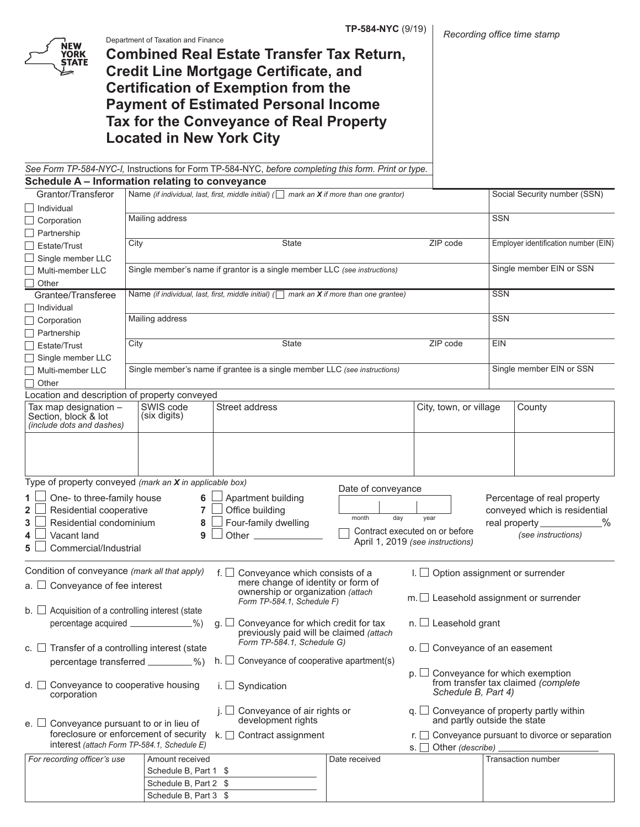

Department of Taxation and Finance

**Combined Real Estate Transfer Tax Return, Credit Line Mortgage Certificate, and Certification of Exemption from the Payment of Estimated Personal Income Tax for the Conveyance of Real Property Located in New York City**

*See Form TP-584-NYC-I,* Instructions for Form TP-584-NYC, *before completing this form. Print or type.* **Schedule A – Information relating to conveyance**

| Grantor/Transferor                                                                                                                                                                                                                                                                                                          |                                    | Name (if individual, last, first, middle initial) ( $\Box$ mark an X if more than one grantor)        |                                    |                                                                                                          |                                      | Social Security number (SSN)                                                                                                      |
|-----------------------------------------------------------------------------------------------------------------------------------------------------------------------------------------------------------------------------------------------------------------------------------------------------------------------------|------------------------------------|-------------------------------------------------------------------------------------------------------|------------------------------------|----------------------------------------------------------------------------------------------------------|--------------------------------------|-----------------------------------------------------------------------------------------------------------------------------------|
| Individual                                                                                                                                                                                                                                                                                                                  |                                    |                                                                                                       |                                    |                                                                                                          |                                      |                                                                                                                                   |
| $\Box$ Corporation                                                                                                                                                                                                                                                                                                          | Mailing address                    |                                                                                                       |                                    |                                                                                                          | <b>SSN</b>                           |                                                                                                                                   |
| $\Box$ Partnership                                                                                                                                                                                                                                                                                                          |                                    |                                                                                                       |                                    |                                                                                                          |                                      |                                                                                                                                   |
| Estate/Trust                                                                                                                                                                                                                                                                                                                | City                               | State<br>ZIP code                                                                                     |                                    |                                                                                                          | Employer identification number (EIN) |                                                                                                                                   |
| Single member LLC                                                                                                                                                                                                                                                                                                           |                                    |                                                                                                       |                                    |                                                                                                          |                                      |                                                                                                                                   |
| Multi-member LLC                                                                                                                                                                                                                                                                                                            |                                    | Single member's name if grantor is a single member LLC (see instructions)                             |                                    |                                                                                                          |                                      | Single member EIN or SSN                                                                                                          |
| Other                                                                                                                                                                                                                                                                                                                       |                                    |                                                                                                       |                                    |                                                                                                          |                                      |                                                                                                                                   |
| Grantee/Transferee                                                                                                                                                                                                                                                                                                          |                                    | Name (if individual, last, first, middle initial) ( $\Box$ mark an <b>X</b> if more than one grantee) |                                    |                                                                                                          | <b>SSN</b>                           |                                                                                                                                   |
| Individual                                                                                                                                                                                                                                                                                                                  |                                    |                                                                                                       |                                    |                                                                                                          |                                      |                                                                                                                                   |
| $\Box$ Corporation                                                                                                                                                                                                                                                                                                          | Mailing address                    |                                                                                                       |                                    |                                                                                                          | <b>SSN</b>                           |                                                                                                                                   |
| $\Box$ Partnership                                                                                                                                                                                                                                                                                                          |                                    |                                                                                                       |                                    |                                                                                                          |                                      |                                                                                                                                   |
| $\Box$ Estate/Trust                                                                                                                                                                                                                                                                                                         | City                               | State                                                                                                 |                                    | ZIP code                                                                                                 | <b>EIN</b>                           |                                                                                                                                   |
| Single member LLC                                                                                                                                                                                                                                                                                                           |                                    |                                                                                                       |                                    |                                                                                                          |                                      |                                                                                                                                   |
| Multi-member LLC                                                                                                                                                                                                                                                                                                            |                                    | Single member's name if grantee is a single member LLC (see instructions)                             |                                    |                                                                                                          |                                      | Single member EIN or SSN                                                                                                          |
| Other                                                                                                                                                                                                                                                                                                                       |                                    |                                                                                                       |                                    |                                                                                                          |                                      |                                                                                                                                   |
| Location and description of property conveyed                                                                                                                                                                                                                                                                               |                                    |                                                                                                       |                                    |                                                                                                          |                                      |                                                                                                                                   |
| Tax map designation -<br>Section, block & lot<br>(include dots and dashes)                                                                                                                                                                                                                                                  | SWIS code<br>(six digits)          | Street address                                                                                        |                                    | City, town, or village                                                                                   |                                      | County                                                                                                                            |
| Type of property conveyed (mark an X in applicable box)                                                                                                                                                                                                                                                                     |                                    |                                                                                                       |                                    |                                                                                                          |                                      |                                                                                                                                   |
| $\mathbf{1}$<br>One- to three-family house<br>Residential cooperative<br>$\mathbf{2}$<br>Residential condominium<br>3<br>Vacant land<br>4<br>5<br>Commercial/Industrial                                                                                                                                                     | 6<br>$\overline{7}$<br>8<br>9      | Apartment building<br>Office building<br>Four-family dwelling                                         | Date of conveyance<br>day<br>month | year<br>Contract executed on or before<br>April 1, 2019 (see instructions)                               |                                      | Percentage of real property<br>conveyed which is residential<br>$\frac{9}{6}$<br>real property_____________<br>(see instructions) |
| Condition of conveyance (mark all that apply)<br>Option assignment or surrender<br>f. $\Box$<br>Conveyance which consists of a<br>mere change of identity or form of<br>Conveyance of fee interest<br>a. ⊔<br>ownership or organization (attach<br>$m.\Box$ Leasehold assignment or surrender<br>Form TP-584.1, Schedule F) |                                    |                                                                                                       |                                    |                                                                                                          |                                      |                                                                                                                                   |
| b. $\Box$ Acquisition of a controlling interest (state                                                                                                                                                                                                                                                                      |                                    |                                                                                                       |                                    |                                                                                                          |                                      |                                                                                                                                   |
| percentage acquired _____________%)<br>$n.$ Leasehold grant<br>Conveyance for which credit for tax<br>$g \Box$<br>previously paid will be claimed (attach                                                                                                                                                                   |                                    |                                                                                                       |                                    |                                                                                                          |                                      |                                                                                                                                   |
| c. $\Box$ Transfer of a controlling interest (state                                                                                                                                                                                                                                                                         |                                    | Form TP-584.1, Schedule G)                                                                            |                                    | $\circ$ . $\Box$ Conveyance of an easement                                                               |                                      |                                                                                                                                   |
|                                                                                                                                                                                                                                                                                                                             | percentage transferred _________%) | h. $\Box$ Conveyance of cooperative apartment(s)                                                      |                                    |                                                                                                          |                                      |                                                                                                                                   |
| $d.$ $\Box$ Conveyance to cooperative housing<br>i. $\Box$ Syndication<br>corporation                                                                                                                                                                                                                                       |                                    |                                                                                                       |                                    | $p.$ $\Box$ Conveyance for which exemption<br>from transfer tax claimed (complete<br>Schedule B, Part 4) |                                      |                                                                                                                                   |
| j. $\Box$ Conveyance of air rights or<br>development rights<br>e. $\Box$ Conveyance pursuant to or in lieu of                                                                                                                                                                                                               |                                    |                                                                                                       |                                    | $q. \Box$<br>and partly outside the state                                                                |                                      | Conveyance of property partly within                                                                                              |
| foreclosure or enforcement of security<br>interest (attach Form TP-584.1, Schedule E)                                                                                                                                                                                                                                       |                                    | k. $\Box$ Contract assignment                                                                         |                                    |                                                                                                          |                                      | $r.$ $\Box$ Conveyance pursuant to divorce or separation                                                                          |
| For recording officer's use                                                                                                                                                                                                                                                                                                 | Amount received                    |                                                                                                       | Date received                      |                                                                                                          |                                      | <b>Transaction number</b>                                                                                                         |
|                                                                                                                                                                                                                                                                                                                             | Schedule B, Part 1 \$              |                                                                                                       |                                    |                                                                                                          |                                      |                                                                                                                                   |
|                                                                                                                                                                                                                                                                                                                             | Schedule B, Part 2 \$              |                                                                                                       |                                    |                                                                                                          |                                      |                                                                                                                                   |
|                                                                                                                                                                                                                                                                                                                             | Schedule B, Part 3 \$              |                                                                                                       |                                    |                                                                                                          |                                      |                                                                                                                                   |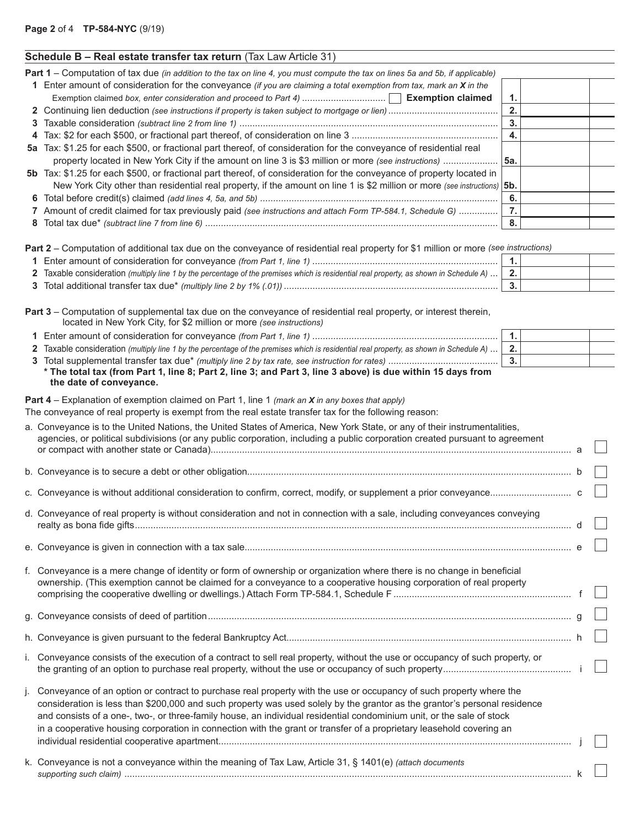|  |  | Schedule B - Real estate transfer tax return (Tax Law Article 31) |  |
|--|--|-------------------------------------------------------------------|--|
|--|--|-------------------------------------------------------------------|--|

| Part 1 – Computation of tax due (in addition to the tax on line 4, you must compute the tax on lines 5a and 5b, if applicable)                                                                                                 |                  |  |
|--------------------------------------------------------------------------------------------------------------------------------------------------------------------------------------------------------------------------------|------------------|--|
| 1 Enter amount of consideration for the conveyance (if you are claiming a total exemption from tax, mark an $X$ in the                                                                                                         |                  |  |
|                                                                                                                                                                                                                                | 1.               |  |
|                                                                                                                                                                                                                                | 2.               |  |
|                                                                                                                                                                                                                                | 3.               |  |
|                                                                                                                                                                                                                                | 4.               |  |
| 5a Tax: \$1.25 for each \$500, or fractional part thereof, of consideration for the conveyance of residential real<br>property located in New York City if the amount on line 3 is \$3 million or more (see instructions)  5a. |                  |  |
| 5b Tax: \$1.25 for each \$500, or fractional part thereof, of consideration for the conveyance of property located in                                                                                                          |                  |  |
| New York City other than residential real property, if the amount on line 1 is \$2 million or more (see instructions) 5b.                                                                                                      |                  |  |
|                                                                                                                                                                                                                                | 6.               |  |
| 7 Amount of credit claimed for tax previously paid (see instructions and attach Form TP-584.1, Schedule G)                                                                                                                     |                  |  |
|                                                                                                                                                                                                                                | 8.               |  |
| <b>Part 2</b> – Computation of additional tax due on the conveyance of residential real property for \$1 million or more (see instructions)                                                                                    |                  |  |
|                                                                                                                                                                                                                                | $\overline{1}$ . |  |
| 2 Taxable consideration (multiply line 1 by the percentage of the premises which is residential real property, as shown in Schedule A)                                                                                         | 2.               |  |
|                                                                                                                                                                                                                                | 3.               |  |

| Part 3 – Computation of supplemental tax due on the conveyance of residential real property, or interest therein,<br>located in New York City, for \$2 million or more (see instructions) |    |  |
|-------------------------------------------------------------------------------------------------------------------------------------------------------------------------------------------|----|--|
|                                                                                                                                                                                           |    |  |
| 2 Taxable consideration (multiply line 1 by the percentage of the premises which is residential real property, as shown in Schedule A)                                                    | 2. |  |
|                                                                                                                                                                                           |    |  |

| * The total tax (from Part 1, line 8; Part 2, line 3; and Part 3, line 3 above) is due within 15 days from |
|------------------------------------------------------------------------------------------------------------|
| the date of conveyance.                                                                                    |

**Part 4** – Explanation of exemption claimed on Part 1, line 1 *(mark an X in any boxes that apply)*

The conveyance of real property is exempt from the real estate transfer tax for the following reason:

|              | a. Conveyance is to the United Nations, the United States of America, New York State, or any of their instrumentalities,<br>agencies, or political subdivisions (or any public corporation, including a public corporation created pursuant to agreement                                                                                                                                                                                                                                         |   |  |
|--------------|--------------------------------------------------------------------------------------------------------------------------------------------------------------------------------------------------------------------------------------------------------------------------------------------------------------------------------------------------------------------------------------------------------------------------------------------------------------------------------------------------|---|--|
|              |                                                                                                                                                                                                                                                                                                                                                                                                                                                                                                  | a |  |
|              |                                                                                                                                                                                                                                                                                                                                                                                                                                                                                                  |   |  |
|              |                                                                                                                                                                                                                                                                                                                                                                                                                                                                                                  |   |  |
|              | d. Conveyance of real property is without consideration and not in connection with a sale, including conveyances conveying                                                                                                                                                                                                                                                                                                                                                                       |   |  |
|              |                                                                                                                                                                                                                                                                                                                                                                                                                                                                                                  |   |  |
|              | f. Conveyance is a mere change of identity or form of ownership or organization where there is no change in beneficial                                                                                                                                                                                                                                                                                                                                                                           |   |  |
|              | ownership. (This exemption cannot be claimed for a conveyance to a cooperative housing corporation of real property                                                                                                                                                                                                                                                                                                                                                                              |   |  |
|              |                                                                                                                                                                                                                                                                                                                                                                                                                                                                                                  |   |  |
|              |                                                                                                                                                                                                                                                                                                                                                                                                                                                                                                  |   |  |
|              | i. Conveyance consists of the execution of a contract to sell real property, without the use or occupancy of such property, or                                                                                                                                                                                                                                                                                                                                                                   |   |  |
| $\mathbf{L}$ | Conveyance of an option or contract to purchase real property with the use or occupancy of such property where the<br>consideration is less than \$200,000 and such property was used solely by the grantor as the grantor's personal residence<br>and consists of a one-, two-, or three-family house, an individual residential condominium unit, or the sale of stock<br>in a cooperative housing corporation in connection with the grant or transfer of a proprietary leasehold covering an |   |  |
|              | k. Conveyance is not a conveyance within the meaning of Tax Law, Article 31, § 1401(e) (attach documents                                                                                                                                                                                                                                                                                                                                                                                         |   |  |
|              |                                                                                                                                                                                                                                                                                                                                                                                                                                                                                                  |   |  |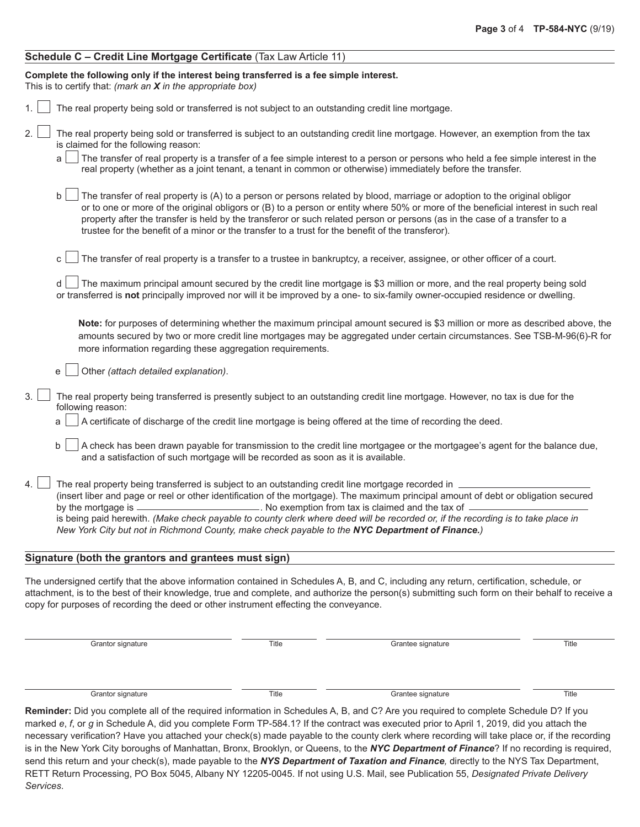# **Schedule C – Credit Line Mortgage Certificate** (Tax Law Article 11)

| Complete the following only if the interest being transferred is a fee simple interest.                                                                                                                                                                                                                                                                                                                                                                                                                 |
|---------------------------------------------------------------------------------------------------------------------------------------------------------------------------------------------------------------------------------------------------------------------------------------------------------------------------------------------------------------------------------------------------------------------------------------------------------------------------------------------------------|
| This is to certify that: (mark an $X$ in the appropriate box)                                                                                                                                                                                                                                                                                                                                                                                                                                           |
| The real property being sold or transferred is not subject to an outstanding credit line mortgage.                                                                                                                                                                                                                                                                                                                                                                                                      |
| 2.<br>The real property being sold or transferred is subject to an outstanding credit line mortgage. However, an exemption from the tax<br>is claimed for the following reason:                                                                                                                                                                                                                                                                                                                         |
| The transfer of real property is a transfer of a fee simple interest to a person or persons who held a fee simple interest in the<br>real property (whether as a joint tenant, a tenant in common or otherwise) immediately before the transfer.                                                                                                                                                                                                                                                        |
| b<br>The transfer of real property is (A) to a person or persons related by blood, marriage or adoption to the original obligor<br>or to one or more of the original obligors or (B) to a person or entity where 50% or more of the beneficial interest in such real<br>property after the transfer is held by the transferor or such related person or persons (as in the case of a transfer to a<br>trustee for the benefit of a minor or the transfer to a trust for the benefit of the transferor). |
| The transfer of real property is a transfer to a trustee in bankruptcy, a receiver, assignee, or other officer of a court.<br>C                                                                                                                                                                                                                                                                                                                                                                         |
| The maximum principal amount secured by the credit line mortgage is \$3 million or more, and the real property being sold<br>or transferred is not principally improved nor will it be improved by a one- to six-family owner-occupied residence or dwelling.                                                                                                                                                                                                                                           |
| Note: for purposes of determining whether the maximum principal amount secured is \$3 million or more as described above, the<br>amounts secured by two or more credit line mortgages may be aggregated under certain circumstances. See TSB-M-96(6)-R for<br>more information regarding these aggregation requirements.                                                                                                                                                                                |
| Other (attach detailed explanation).<br>e                                                                                                                                                                                                                                                                                                                                                                                                                                                               |
| 3.<br>The real property being transferred is presently subject to an outstanding credit line mortgage. However, no tax is due for the<br>following reason:                                                                                                                                                                                                                                                                                                                                              |
| A certificate of discharge of the credit line mortgage is being offered at the time of recording the deed.                                                                                                                                                                                                                                                                                                                                                                                              |
| b<br>A check has been drawn payable for transmission to the credit line mortgagee or the mortgagee's agent for the balance due,<br>and a satisfaction of such mortgage will be recorded as soon as it is available.                                                                                                                                                                                                                                                                                     |
| The real property being transferred is subject to an outstanding credit line mortgage recorded in _<br>4.                                                                                                                                                                                                                                                                                                                                                                                               |
| (insert liber and page or reel or other identification of the mortgage). The maximum principal amount of debt or obligation secured<br>by the mortgage is $-$<br>No exemption from tax is claimed and the tax of _                                                                                                                                                                                                                                                                                      |
| is being paid herewith. (Make check payable to county clerk where deed will be recorded or, if the recording is to take place in<br>New York City but not in Richmond County, make check payable to the NYC Department of Finance.)                                                                                                                                                                                                                                                                     |
| Signature (both the grantors and grantees must sign)                                                                                                                                                                                                                                                                                                                                                                                                                                                    |
| The undersigned certify that the above information contained in Schedules A, B, and C, including any return, certification, schedule, or                                                                                                                                                                                                                                                                                                                                                                |

certify that the above information contained in Schedules A, B, and C, including any return, certification, schedule, or attachment, is to the best of their knowledge, true and complete, and authorize the person(s) submitting such form on their behalf to receive a copy for purposes of recording the deed or other instrument effecting the conveyance.

| Grantor signature | Title | Grantee signature | Title |
|-------------------|-------|-------------------|-------|
|                   |       |                   |       |
|                   |       |                   |       |
|                   |       |                   |       |
| Grantor signature | Title | Grantee signature | Title |

**Reminder:** Did you complete all of the required information in Schedules A, B, and C? Are you required to complete Schedule D? If you marked *e*, *f*, or *g* in Schedule A, did you complete Form TP-584.1? If the contract was executed prior to April 1, 2019, did you attach the necessary verification? Have you attached your check(s) made payable to the county clerk where recording will take place or, if the recording is in the New York City boroughs of Manhattan, Bronx, Brooklyn, or Queens, to the *NYC Department of Finance*? If no recording is required, send this return and your check(s), made payable to the *NYS Department of Taxation and Finance,* directly to the NYS Tax Department, RETT Return Processing, PO Box 5045, Albany NY 12205-0045. If not using U.S. Mail, see Publication 55, *Designated Private Delivery Services*.